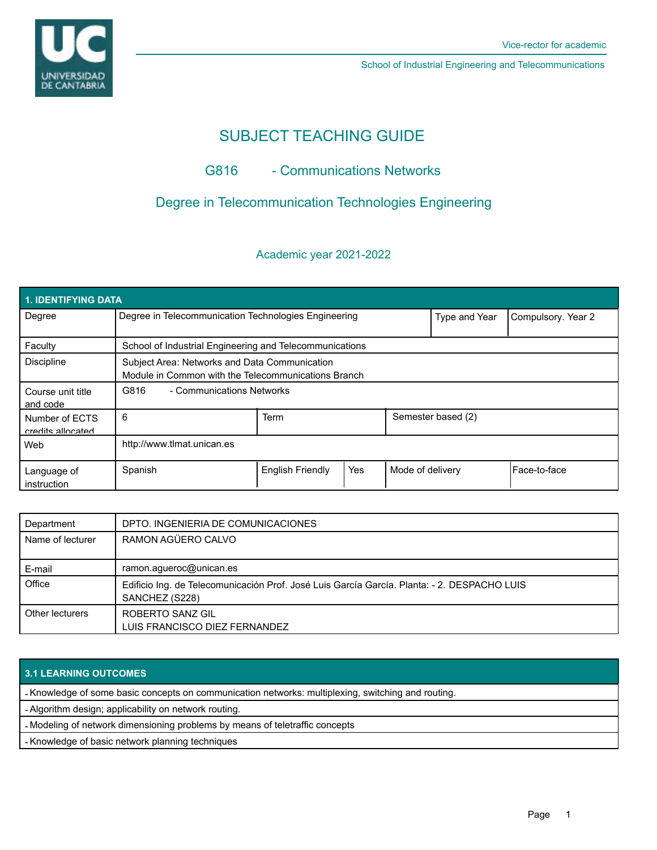

School of Industrial Engineering and Telecommunications

# SUBJECT TEACHING GUIDE

# G816 - Communications Networks

# Degree in Telecommunication Technologies Engineering

### Academic year 2021-2022

| <b>1. IDENTIFYING DATA</b>          |                                                                                                      |                         |     |                    |                    |              |  |  |  |
|-------------------------------------|------------------------------------------------------------------------------------------------------|-------------------------|-----|--------------------|--------------------|--------------|--|--|--|
| Degree                              | Degree in Telecommunication Technologies Engineering                                                 |                         |     | Type and Year      | Compulsory. Year 2 |              |  |  |  |
| Faculty                             | School of Industrial Engineering and Telecommunications                                              |                         |     |                    |                    |              |  |  |  |
| <b>Discipline</b>                   | Subject Area: Networks and Data Communication<br>Module in Common with the Telecommunications Branch |                         |     |                    |                    |              |  |  |  |
| Course unit title<br>and code       | G816<br>- Communications Networks                                                                    |                         |     |                    |                    |              |  |  |  |
| Number of ECTS<br>credits allocated | 6                                                                                                    | <b>Term</b>             |     | Semester based (2) |                    |              |  |  |  |
| Web                                 | http://www.tlmat.unican.es                                                                           |                         |     |                    |                    |              |  |  |  |
| Language of<br>instruction          | Spanish                                                                                              | <b>English Friendly</b> | Yes | Mode of delivery   |                    | Face-to-face |  |  |  |

| Department       | DPTO. INGENIERIA DE COMUNICACIONES                                                                            |
|------------------|---------------------------------------------------------------------------------------------------------------|
| Name of lecturer | RAMON AGÜERO CALVO                                                                                            |
| E-mail           | ramon.agueroc@unican.es                                                                                       |
| Office           | Edificio Ing. de Telecomunicación Prof. José Luis García García. Planta: - 2. DESPACHO LUIS<br>SANCHEZ (S228) |
| Other lecturers  | ROBERTO SANZ GIL<br>LUIS FRANCISCO DIEZ FERNANDEZ                                                             |

### **3.1 LEARNING OUTCOMES**

- Knowledge of some basic concepts on communication networks: multiplexing, switching and routing.

- Algorithm design; applicability on network routing.

- Modeling of network dimensioning problems by means of teletraffic concepts

- Knowledge of basic network planning techniques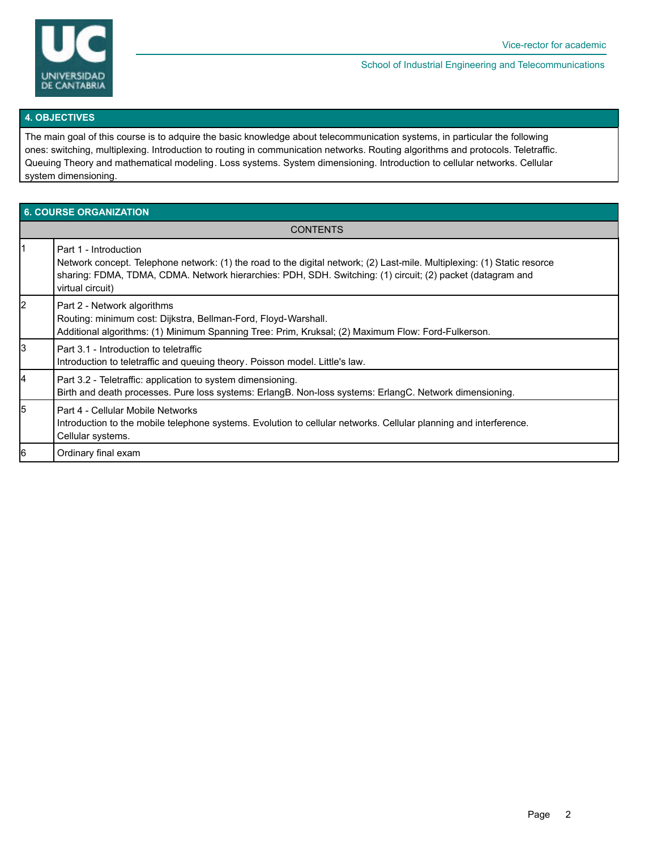

School of Industrial Engineering and Telecommunications

#### **4. OBJECTIVES**

The main goal of this course is to adquire the basic knowledge about telecommunication systems, in particular the following ones: switching, multiplexing. Introduction to routing in communication networks. Routing algorithms and protocols. Teletraffic. Queuing Theory and mathematical modeling. Loss systems. System dimensioning. Introduction to cellular networks. Cellular system dimensioning.

| <b>6. COURSE ORGANIZATION</b> |                                                                                                                                                                                                                                                                                     |  |  |  |  |
|-------------------------------|-------------------------------------------------------------------------------------------------------------------------------------------------------------------------------------------------------------------------------------------------------------------------------------|--|--|--|--|
| <b>CONTENTS</b>               |                                                                                                                                                                                                                                                                                     |  |  |  |  |
| 1                             | Part 1 - Introduction<br>Network concept. Telephone network: (1) the road to the digital network; (2) Last-mile. Multiplexing: (1) Static resorce<br>sharing: FDMA, TDMA, CDMA. Network hierarchies: PDH, SDH. Switching: (1) circuit; (2) packet (datagram and<br>virtual circuit) |  |  |  |  |
| 2                             | Part 2 - Network algorithms<br>Routing: minimum cost: Dijkstra, Bellman-Ford, Floyd-Warshall.<br>Additional algorithms: (1) Minimum Spanning Tree: Prim, Kruksal; (2) Maximum Flow: Ford-Fulkerson.                                                                                 |  |  |  |  |
| l3                            | Part 3.1 - Introduction to teletraffic<br>Introduction to teletraffic and queuing theory. Poisson model. Little's law.                                                                                                                                                              |  |  |  |  |
| 4                             | Part 3.2 - Teletraffic: application to system dimensioning.<br>Birth and death processes. Pure loss systems: ErlangB. Non-loss systems: ErlangC. Network dimensioning.                                                                                                              |  |  |  |  |
| l5                            | Part 4 - Cellular Mobile Networks<br>Introduction to the mobile telephone systems. Evolution to cellular networks. Cellular planning and interference.<br>Cellular systems.                                                                                                         |  |  |  |  |
| l6                            | Ordinary final exam                                                                                                                                                                                                                                                                 |  |  |  |  |